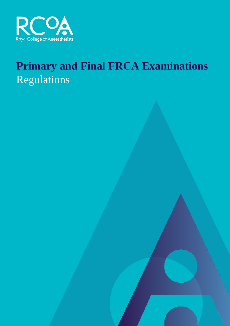

# **Primary and Final FRCA Examinations** Regulations

Amended 1 September 2016

complaints procT

These regulations also cover re-calculation requests and

edurheseesR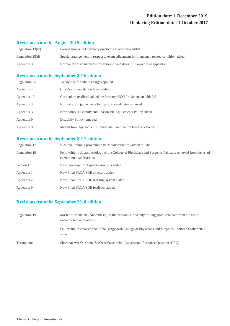# **Edition date: 1 December 2019 Replacing Edition date: 1 October 2017**

# **Revisions from the August 2015 edition**

| Regulation $13(iv)$ | Former trainee not currently practicing anaesthesia added.                               |
|---------------------|------------------------------------------------------------------------------------------|
| Regulation 28(d)    | Special arrangement in respect to exam adjustment for pregnancy related condition added. |
| Appendix 3          | Normal exam adjustments for dyslexic candidates. Full re-write of appendix.              |

# **Revisions from the September 2016 edition**

| Regulation 25 | 14 day rule for admin charges applied.                            |
|---------------|-------------------------------------------------------------------|
| Appendix 4    | Chair's commendation letter added.                                |
| Appendix 10   | Curriculum feedback added the Primary MCQ Provisions in table 3.5 |
| Appendix 3    | Normal exam judgements for dyslexic candidates removed            |
| Appendix 3    | New policy: Disability and Reasonable Adjustments Policy added    |
| Appendix 9    | Disability Policy removed                                         |
| Appendix 9    | Moved from Appendix 10: Candidate Examination Feedback Policy.    |

# **Revisions from the September 2017 edition**

| Regulation 17 | ICM dual training programme (ICM/Anaesthetics) added to Final                                                                          |
|---------------|----------------------------------------------------------------------------------------------------------------------------------------|
| Regulation 19 | Fellowship in Anaesthesiology of the College of Physicians and Surgeons Pakistan, removed from the list of<br>exemption qualifications |
| Section 13    | New paragraph 37, Equality Analysis added                                                                                              |
| Appendix 1    | New Final FRCA SOE structure added                                                                                                     |
| Appendix 2    | New Final FRCA SOE marking system added                                                                                                |
| Appendix 9    | New Final FRCA SOE feedback added.                                                                                                     |
|               |                                                                                                                                        |

# **Revisions from the September 2018 edition**

| Regulation 19 | Master of Medicine (Anaesthesia) of the National University of Singapore, removed from the list of<br>exemption qualifications |
|---------------|--------------------------------------------------------------------------------------------------------------------------------|
|               | Fellowship in Anaesthesia of the Bangladesh College of Physicians and Surgeons; 'before October 2019'<br>added                 |
| Throughout    | Short Answer Question (SAQ) replaced with 'Constructed Response Question (CRQ).                                                |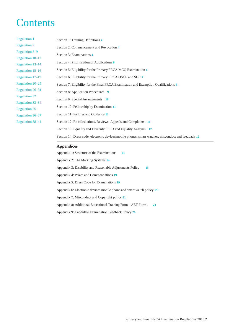# **Contents**

| <b>Regulation 1</b>     | Section 1: Training Definitions 4                                                                   |
|-------------------------|-----------------------------------------------------------------------------------------------------|
| <b>Regulation 2</b>     | Section 2: Commencement and Revocation 4                                                            |
| Regulation 3-9          | Section 3: Examinations 4                                                                           |
| Regulation 10-12        |                                                                                                     |
| Regulation 13–14        | Section 4: Prioritisation of Applications 6                                                         |
| Regulation 15-16        | Section 5: Eligibility for the Primary FRCA MCQ Examination 6                                       |
| Regulation 17-19        | Section 6: Eligibility for the Primary FRCA OSCE and SOE 7                                          |
| Regulation 20–25        | Section 7: Eligibility for the Final FRCA Examination and Exemption Qualifications 8                |
| Regulation 26–31        | Section 8: Application Procedures 9                                                                 |
| <b>Regulation 32</b>    |                                                                                                     |
| Regulation 33-34        | Section 9: Special Arrangements 10                                                                  |
| <b>Regulation 35</b>    | Section 10: Fellowship by Examination 11                                                            |
| Regulation 36–37        | Section 11: Failures and Guidance 11                                                                |
| <b>Regulation 38-41</b> | Section 12: Re-calculations, Reviews, Appeals and Complaints 11                                     |
|                         | Section 13: Equality and Diversity PSED and Equality Analysis 12                                    |
|                         | Section 14: Dress code, electronic devices/mobile phones, smart watches, misconduct and feedback 12 |
|                         |                                                                                                     |

## **[Appendices](#page-14-0)**

[Appendix 1: Structure of](#page-14-0) the Examinations **13** [Appendix 2: The Marking Systems](#page-15-0) **14** [Appendix 3: Disability and Reasonable](#page-16-0) Adjustments Policy **15** [Appendix 4: Prizes and Commendations](#page-20-0) **19** [Appendix 5: Dress Code for Examinations](#page-20-0) **19** [Appendix 6: Electronic devices mobile phone and smart watch policy](#page-20-0) **19** [Appendix 7: Misconduct and Copyright policy](#page-22-0) **21** [Appendix 8: Additional Educational Training Form –](#page-25-0) AET Form1 **24** [Appendix 9: Candidate Examination Feedback Policy](#page-28-0) **26**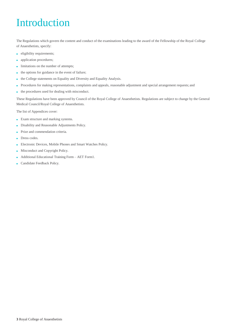# Introduction

The Regulations which govern the content and conduct of the examinations leading to the award of the Fellowship of the Royal College of Anaesthetists, specify:

- eligibility requirements;
- **application procedures;**
- limitations on the number of attempts;
- the options for guidance in the event of failure;
- the College statements on Equality and Diversity and Equality Analysis.
- Procedures for making representations, complaints and appeals, reasonable adjustment and special arrangement requests; and
- the procedures used for dealing with misconduct.

These Regulations have been approved by Council of the Royal College of Anaesthetists. Regulations are subject to change by the General Medical Council/Royal College of Anaesthetists.

The list of Appendices cover:

- Exam structure and marking systems.
- Disability and Reasonable Adjustments Policy.
- Prize and commendation criteria.
- Dress codes.
- Electronic Devices, Mobile Phones and Smart Watches Policy.
- Misconduct and Copyright Policy.
- Additional Educational Training Form AET Form1.
- Candidate Feedback Policy.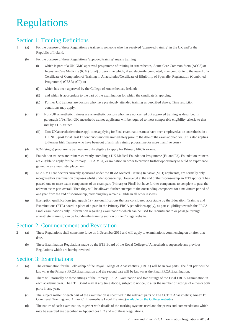# <span id="page-5-0"></span>Regulations

# Section 1: Training Definitions

- 1 (a) For the purpose of these Regulations a trainee is someone who has received 'approved training' in the UK and/or the Republic of Ireland.
	- (b) For the purpose of these Regulations 'approved training' means training:
		- (i) which is part of a UK GMC approved programme of training in Anaesthetics, Acute Care Common Stem (ACCS) or Intensive Care Medicine (ICM) (dual) programme which, if satisfactorily completed, may contribute to the award of a Certificate of Completion of Training in Anaesthetics/Certificate of Eligibility of Specialist Registration (Combined Programme) (CESR) (CP); or
		- (ii) which has been approved by the College of Anaesthetists, Ireland;
		- (iii) and which is appropriate to the part of the examination for which the candidate is applying.
		- (iv) Former UK trainees are doctors who have previously attended training as described above. Time restriction conditions may apply.
	- (c) (i) Non-UK anaesthetic trainees are anaesthetic doctors who have not carried out approved training as described in paragraph 1(b). Non-UK anaesthetic trainee applicants will be required to meet comparable eligibility criteria to that met by a UK trainee.
		- (ii) Non-UK anaesthetic trainee applicants applying for Final examinations must have been employed as an anaesthetist in a UK NHS post for at least 12 continuous months immediately prior to the date of the exam applied for. (This also applies to Former Irish Trainees who have been out of an Irish training programme for more than five years).
	- (d) ICM (single) programme trainees are only eligible to apply for Primary FRCA exams.
	- (e) Foundation trainees are trainees currently attending a UK Medical Foundation Programme (F1 and F2). Foundation trainees are eligible to apply for the Primary FRCA MCQ examination in order to provide further opportunity to build on experience gained in an anaesthetic placement.
	- (f) RCoA MTI are doctors currently sponsored under the RCoA Medical Training Initiative (MTI) applicants, are normally only recognised for examination purposes whilst under sponsorship. However, if at the end of their sponsorship an MTI applicant has passed one or more exam components of an exam part (Primary or Final) but have further components to complete to pass the relevant exam part overall. Then they will be allowed further attempts at the outstanding component for a maximum period of one year from the end of sponsorship, providing they remain eligible in all other respects.
	- (g) Exemption qualifications (paragraph 19), are qualifications that are considered acceptable by the Education, Training and Examinations (ETE) board in place of a pass in the Primary FRCA (conditions apply), as part eligibility towards the FRCA Final examinations only. Information regarding examinations which can be used for recruitment to or passage through anaesthetic training, can be foundon the training section of the College website.

# Section 2: Commencement and Revocation

- 2 (a) These Regulations shall come into force on 1 December 2019 and will apply to examinations commencing on or after that date.
	- (b) These Examination Regulations made by the ETE Board of the Royal College of Anaesthetists supersede anyprevious Regulations which are hereby revoked.

# Section 3: Examinations

- 3 (a) The examination for the Fellowship of the Royal College of Anaesthetists (FRCA) will be in two parts. The first part will be known as the Primary FRCA Examination and the second part will be known as the Final FRCA Examination.
	- (b) There will normally be three sittings of the Primary FRCA Examination and two sittings of the Final FRCA Examination in each academic year. The ETE Board may at any time decide, subject to notice, to alter the number of sittings of eitheror both parts in any year.
	- (c) The subject matter of each part of the examination is specified in the relevant parts of The CCT in Anaesthetics; Annex B: Core Level Training, and Annex C: Intermediate Level Training [\(available on the College](http://www.rcoa.ac.uk/node/205) website).
	- (d) The nature of each examination, together with details of the marking systems used and the prizes and commendations which may be awarded are described in Appendices 1, 2 and 4 of these Regulations.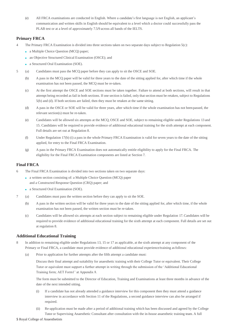(e) All FRCA examinations are conducted in English. Where a candidate's first language is not English, an applicant's communication and written skills in English should be equivalent to a level which a doctor could successfully pass the PLAB test or at a level of approximately 7.5/9 across all bands of the IELTS.

# **Primary FRCA**

- 4 The Primary FRCA Examination is divided into three sections taken on two separate days subject to Regulation 5(c):
	- a Multiple Choice Question (MCQ) paper;
	- an Objective Structured Clinical Examination (OSCE); and
	- a Structured Oral Examination (SOE).
- 5 (a) Candidates must pass the MCQ paper before they can apply to sit the OSCE and SOE.
	- (b) A pass in the MCQ paper will be valid for three years to the date of the sitting applied for, after which time if the whole examination has not been passed, the MCQ must be re-taken.
	- (c) At the first attempt the OSCE and SOE sections must be taken together. Failure to attend at both sections, will result in that attempt being recorded as fail in both sections. If one section is failed, only that section must be retaken, subject to Regulations 5(b) and (d). If both sections are failed, then they must be retaken at the same sitting.
	- (d) A pass in the OSCE or SOE will be valid for three years, after which time if the whole examination has not beenpassed, the relevant section(s) must be re-taken.
	- (e) Candidates will be allowed six attempts at the MCQ, OSCE and SOE, subject to remaining eligible under Regulations 13 and 15. Candidates will be required to provide evidence of additional educational training for the sixth attempt at each component. Full details are set out at Regulation 8.
	- (f) Under Regulation 17(b) (i) a pass in the whole Primary FRCA Examination is valid for seven years to the date of the sitting applied, for entry to the Final FRCA Examination.
	- (g) A pass in the Primary FRCA Examination does not automatically entitle eligibility to apply for the Final FRCA. The eligibility for the Final FRCA Examination components are listed at Section 7.

# **Final FRCA**

- 6 The Final FRCA Examination is divided into two sections taken on two separate days:
	- a written section consisting of: a Multiple Choice Question (MCQ) paper and a Constructed Response Question (CRQ) paper; and
	- a Structured Oral Examination (SOE).
- 7 (a) Candidates must pass the written section before they can apply to sit the SOE.
	- (b) A pass in the written section will be valid for three years to the date of the sitting applied for, after which time, if the whole examination has not been passed, the written section must be re-taken.
	- (c) Candidates will be allowed six attempts at each section subject to remaining eligible under Regulation 17. Candidates will be required to provide evidence of additional educational training for the sixth attempt at each component. Full details are set out at regulation 8.

## **Additional Educational Training**

- 8 In addition to remaining eligible under Regulations 13, 15 or 17 as applicable, at the sixth attempt at any component of the Primary or Final FRCA, a candidate must provide evidence of additional educational experience/training asfollows:
	- (a) Prior to application for further attempts after the fifth attempt a candidate must:

Discuss their final attempt and suitability for anaesthetic training with their College Tutor or equivalent. Their College Tutor or equivalent must support a further attempt in writing through the submission of the 'Additional Educational Training form; AET Form1' at Appendix 8.

The form must be submitted to the Director of Education, Training and Examinations at least three months in advance of the date of the next intended sitting.

- (i) If a candidate has not already attended a guidance interview for this component then they must attend a guidance interview in accordance with Section 11 of the Regulations, a second guidance interview can also be arranged if required.
- (ii) Re-application must be made after a period of additional training which has been discussed and agreed by the College Tutor or Supervising Anaesthetic Consultant after consultation with the in-house anaesthetic training team. A full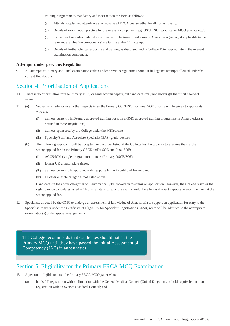training programme is mandatory and is set out on the form as follows:

- <span id="page-7-0"></span>(a) Attendance/planned attendance at a recognised FRCA course either locally or nationally.
- (b) Details of examination practice for the relevant component (e.g. OSCE, SOE practice, or MCQ practice etc.).
- (c) Evidence of modules undertaken or planned to be taken in e-Learning Anaesthesia (e-LA), if applicable to the relevant examination component since failing at the fifth attempt.
- (d) Details of further clinical exposure and training as discussed with a College Tutor appropriate to the relevant examination component.

#### **Attempts under previous Regulations**

9 All attempts at Primary and Final examinations taken under previous regulations count in full against attempts allowed under the current Regulations.

# Section 4: Prioritisation of Applications

- 10 There is no prioritisation for the Primary MCQ or Final written papers, but candidates may not always get their first choice of venue.
- 11 (a) Subject to eligibility in all other respects to sit the Primary OSCE/SOE or Final SOE priority will be given to applicants who are:
	- (i) trainees currently in Deanery approved training posts on a GMC approved training programme in Anaesthetics(as defined in these Regulations);
	- (ii) trainees sponsored by the College under the MTI scheme
	- (iii) Specialty/Staff and Associate Specialist (SAS) grade doctors
	- (b) The following applicants will be accepted, in the order listed, if the College has the capacity to examine them at the sitting applied for, in the Primary OSCE and/or SOE and Final SOE:
		- (i) ACCS/ICM (single programme) trainees (Primary OSCE/SOE)
		- (ii) former UK anaesthetic trainees;
		- (iii) trainees currently in approved training posts in the Republic of Ireland; and
		- (iv) all other eligible categories not listed above.

Candidates in the above categories will automatically be booked on to exams on application. However, the College reserves the right to move candidates listed at 11(b) to a later sitting of the exam should there be insufficient capacity to examine them at the sitting applied for.

12 Specialists directed by the GMC to undergo an assessment of knowledge of Anaesthesia to support an application for entry to the Specialist Register under the Certificate of Eligibility for Specialist Registration (CESR) route will be admitted to the appropriate examination(s) under special arrangements.

The College recommends that candidates should not sit the The College recommends that candidates should not sit the Primary MCQ until they have passed the Initial Assessment of Competency (IAC) in anaesthetics

# Section 5: Eligibility for the Primary FRCA MCQ Examination

- 13 A person is eligible to enter the Primary FRCA MCQ paper who:
	- (a) holds full registration without limitation with the General Medical Council (United Kingdom), or holds equivalent national registration with an overseas Medical Council; and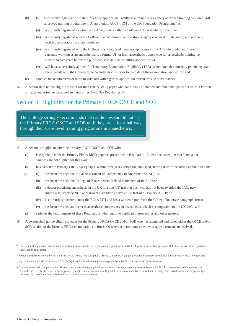- <span id="page-8-0"></span>(b) (i) is currently registered with the College or appropriate Faculty as a trainee in a Deanery approved training post on a GMC approved training programme in Anaesthetics, ACCS, ICM or the UK Foundation Programme;\* or
	- (ii) is currently registered as a trainee in Anaesthetics with the College of Anaesthetists, Ireland; or
	- (iii) is currently registered with the College in a recognised membership category (not an Affiliate grade) and presently working as a practising anaesthetist; or
	- (iv) is currently registered with the College in a recognised membership category (not Affiliate grade) and if not currently working as an anaesthetist, is a former UK or Irish anaesthetic trainee who left anaesthetic training no more than five years before the published start date of the sitting applied for; or
	- (v) will have successfully applied for Temporary Examination Eligibility (TEE) (which includes currently practicing as an anaesthetist) with the College three calendar months prior to the date of the examination applied for, and
- (c) satisfies the requirements of these Regulations with regard to application procedures and other matters.
- 14 A person shall not be eligible to enter for the Primary MCQ paper who has already attempted and failed that paper six times. Or where a matter under review or appeal remains unresolved. See Regulation 35(d).

# Section 6: Eligibility for the Primary FRCA OSCE and SOE

The College strongly recommends that candidates should not sit  $\overline{C}$ the Primary FRCA OSCE and SOE until they are at least halfway the Primary FRCA OSCE and SOE until they are at least halfway through their Core level training programme in anaesthetics.

15 A person is eligible to enter the Primary FRCA OSCE and SOE who:

- (a) is eligible to enter the Primary FRCA MCQ paper as prescribed in Regulation 13, with the exception that Foundation Trainees are not eligible for this exam;†
- (b) has passed the Primary FRCA MCQ paper‡ within three years before the published starting date of the sitting applied for and:
- (c) (i) has been awarded the Initial Assessment of Competency in Anaesthetics (IAC); or
	- (ii) has been awarded the College of Anaesthetists, Ireland equivalent of the IAC; or
	- (iii) a doctor practising anaesthesia in the UK in a non-UK training post who has not been awarded the IAC, may submit a satisfactory NHS appraisal at a standard equivalent to that of a Deanery ARCP; or
	- (iv) is currently sponsored under the RCoA MTI and has a written report from the College Tutor (see paragraph 1e); or
	- (v) has been awarded an overseas anaesthetic competency in anaesthetics which is comparable to the UK IAC;§ and
- (d) satisfies the requirements of these Regulations with regard to application procedures and other matters.
- 16 A person shall not be eligible to enter for the Primary FRCA OSCE and/or SOE who has attempted and failed either the OSCE and/or SOE section of the Primary FRCA examination six times. Or where a matter under review or appeal remains unresolved.

<sup>\*</sup> On receipt of application, ACCS and Foundation trainees will be given temporary registration with the College for examination purposes. ICM trainees will be accepted under their Faculty registration.

<sup>†</sup> Foundation trainees are eligible for the Primary MCQ only (see paragraph 1(d)). ACCS and ICM (single programme) trainees are eligible for all Primary FRCA components.

<sup>‡</sup> A pass in the CARCSI/CAI Primary/MCAI MCQ Examination does not give exemption from the FRCA Primary MCQ Examination.

<sup>§</sup> Overseas anaesthetic competency certificates must be provided on application and prove clinical competency comparable to the UK Initial Assessment of Competency in Anaesthetics. Certificates must be accompanied by a letter of authentication in English from a senior anaesthetic consultant or notary. The final decision on comparability of overseas IAC certificates lies with the Chair of the Primary Examination.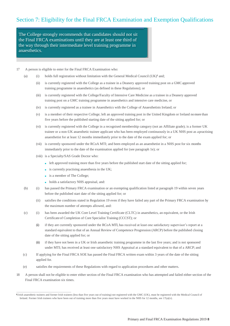<span id="page-9-0"></span>the Final FRCA examinations until they are at least one third of the way through their intermediate level training programme in through the intermediate level training programme in Anaesthesia. The international programme in Anaesthesia. The College strongly recommends that candidates should not sit

#### 17 A person is eligible to enter for the Final FRCA Examination who:

- (a) (i) holds full registration without limitation with the General Medical Council (UK)<sup> $\dagger$ </sup> and;
	- (ii) is currently registered with the College as a trainee in a Deanery approved training post on a GMCapproved training programme in anaesthetics (as defined in these Regulations); or
	- (iii) is currently registered with the College/Faculty of Intensive Care Medicine as a trainee in a Deanery approved training post on a GMC training programme in anaesthetics and intensive care medicine, or
	- (iv) is currently registered as a trainee in Anaesthetics with the College of Anaesthetists Ireland; or
	- (v) is a member of their respective College; left an approved training post in the United Kingdom or Ireland nomore than five years before the published starting date of the sitting applied for; or
	- (vi) is currently registered with the College in a recognised membership category (not an Affiliate grade); is a former UK trainee or a non-UK anaesthetic trainee applicant who has been employed continuously in a UK NHS post as a practising anaesthetist for at least 12 months immediately prior to the date of the exam applied for; or
	- (vii) is currently sponsored under the RCoA MTI; and been employed as an anaesthetist in a NHS post for six months immediately prior to the date of the examination applied for (see paragraph 1e); or
	- (viii) is a Specialty/SAS Grade Doctor who:
		- left approved training more than five years before the published start date of the sitting applied for;
		- $\blacksquare$  is currently practising anaesthesia in the UK;
		- is a member of The College;
		- holds a satisfactory NHS appraisal, and:
- (b) (i) has passed the Primary FRCA examination or an exempting qualification listed at paragraph 19 within seven years before the published start date of the sitting applied for; or
	- (ii) satisfies the conditions stated in Regulation 19 even if they have failed any part of the Primary FRCA examination by the maximum number of attempts allowed, and:
- (c) (i) has been awarded the UK Core Level Training Certificate (CLTC) in anaesthetics, an equivalent, or the Irish Certificateof Completion of Core Specialist Training (CCCST); or
	- (ii) if they are currently sponsored under the RCoA MTI, has received at least one satisfactory supervisor's report at a standard equivalent to that of an Annual Review of Competence Progression (ARCP) before the published closing date of the sitting applied for; or
	- (iii) if they have not been in a UK or Irish anaesthetic training programme in the last five years; and is not sponsored under MTI; has received at least one satisfactory NHS Appraisal at a standard equivalent to that of a ARCP; and
- (c) If applying for the Final FRCA SOE has passed the Final FRCA written exam within 3 years of the date of the sitting applied for.
- (e) satisfies the requirements of these Regulations with regard to application procedures and other matters.
- 18 A person shall not be eligible to enter either section of the Final FRCA examination who has attempted and failed either section of the Final FRCA examination six times.

<sup>¶</sup> Irish anaesthetic trainees and former Irish trainees (less than five years out of training) not registered with the GMC (UK), must be registered with the Medical Council of Ireland. Former Irish trainees who have been out of training more than five years must have worked in the NHS for 12 months, see 17(a)(v).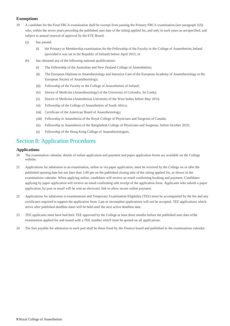## <span id="page-10-0"></span>**Exemptions**

- 19 A candidate for the Final FRCA examination shall be exempt from passing the Primary FRCA examination (see paragraph 1(f)) who, within the seven years preceding the published start date of the sitting applied for, and only in such years as arespecified, and subject to annual renewal of approval by the ETE Board:
	- (a) has passed:
		- (i) the Primary or Membership examination for the Fellowship of the Faculty or the College of Anaesthetists,Ireland (provided it was sat in the Republic of Ireland) before April 2015; or
	- (b) has obtained any of the following national qualifications:
		- (i) The Fellowship of the Australian and New Zealand College of Anaesthetists;
		- (ii) The European Diploma in Anaesthesiology and Intensive Care of the European Academy of Anaesthesiology or the European Society of Anaesthesiology;
		- (iii) Fellowship of the Faculty or the College of Anaesthetists of Ireland;
		- (iv) Doctor of Medicine (Anaesthesiology) of the University of Colombo, Sri Lanka;
		- (v) Doctor of Medicine (Anaesthesia) University of the West Indies before May 2014;
		- (vi) Fellowship of the College of Anaesthetists of South Africa;
		- (vii) Certificate of the American Board of Anaesthesiology;
		- (viii) Fellowship in Anaesthesia of the Royal College of Physicians and Surgeons of Canada;
		- (ix) Fellowship in Anaesthesia of the Bangladesh College of Physicians and Surgeons, before October 2019;
		- (x) Fellowship of the Hong Kong College of Anaesthesiologists.

# Section 8: Application Procedures

## **Applications**

- 20 The examination calendar, details of online application and payment and paper application forms are available on the College website.
- 21 Applications for admission to an examination, online or via paper application, must be received by the College on or after the published opening date but not later than 5.00 pm on the published closing date of the sitting applied for, as shown in the examinations calendar. When applying online, candidates will receive an email confirming booking and payment. Candidates applying by paper application will receive an email confirming safe receipt of the application form. Applicants who submit a paper application, by post or email will be sent an electronic link to allow secure online payment.
- 22 Applications for admission to examinations and Temporary Examination Eligibility (TEE) must be accompanied by the fee and any certificates required to support the application form. Late or incomplete applications will not be accepted. TEE applications which arrive after published deadline dates will be held until the next active deadline date.
- 23 TEE applicants must have had their TEE approved by the College at least three months before the published start date ofthe examination applied for and issued with a TEE number which must be quoted on all applications.
- 24 The fees payable for admission to each part shall be those fixed by the Finance board and published in the examinations calendar.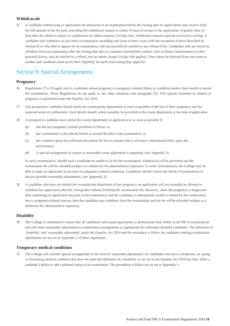## <span id="page-11-0"></span>**Withdrawals**

25 A candidate withdrawing an application for admission to an examination before the closing date for applications may receive back the full amount of the fee paid, providing the withdrawal request is within 14 days of receipt of the application. If greater than 14 days then the refund is subject to a deduction for admin expense, (14 day rule), withdrawal requests must be received in writing. A candidate who withdraws in any other circumstances including non-issue of entry visas (with the exception of those described in Section 9) or who fails to appear for an examination, will not normally be entitled to any refund of fee. Candidates who are forced to withdraw from an examination after the closing date due to a situation beyond their control, such as illness, bereavement or other personal factors, may be entitled to a refund, less an admin charge (14 day rule applies). Fees cannot be deferred from one exam to another and candidates must prove their eligibility for each exam sitting they apply for.

# Section 9: Special Arrangements

## **Pregnancy**

- 26 Regulations 27 to 29 apply only to candidates whose pregnancy or pregnancy-related illness or condition renders them unable to attend the examination. These Regulations do not apply to any other situations (see paragraph 25). This special treatment in relation to pregnancy is permitted under the Equality Act 2010.
- 27 Any prospective candidate should notify the examinations department as soon as possible of the fact of their pregnancy and the expected week of confinement. Such details should, where possible, be provided to the exams department at the time of application.
- 28 A prospective candidate must advise the exams department on application or as soon as possible if:
	- (a) she has any pregnancy-related problems or illness; or
	- (b) her confinement is due shortly before or around the date of the examination; or
	- (c) her condition gives her sufficient discomfort for her to consider that it will have a detrimental effect upon her performance.
	- (d) A special arrangement in respect to reasonable exam adjustment is requested, (see Appendix 3).

In such circumstances, should such a candidate be unable to sit for the examination, withdrawal will be permitted and the examination fee will be refunded (subject to a deduction for administrative expenses). In some circumstances, the College may be able to make an adjustment to account for pregnancy related conditions. Candidates should contact the Head of Examinations to discuss possible reasonable adjustments, (see Appendix 3).

29 A candidate who does not inform the examinations department of her pregnancy on application will not normally be allowed to withdraw her application after the closing date without forfeiting her examination fee. However, when the pregnancy is diagnosed after submitting an application but prior to the examination and the candidate is subsequently unable to attend for the examination due to pregnancy-related reasons, then the candidate may withdraw from the examination and the fee willbe refunded (subject to a deduction for administrative expenses).

## **Disability**

30 The College is committed to ensure that all candidates have equal opportunity to demonstrate their ability in all FRCA examinations and will make reasonable adjustments to examination arrangements as appropriate for individual disabled candidates. The definition of 'disability' and 'reasonable adjustment' under the Equality Act 2010 and the procedure to follow for candidates seeking examination adjustments are set out at Appendix 3 of these regulations.

## **Temporary medical conditions**

31 The College will consider special arrangements in the form of 'reasonable adjustments' for candidates who have a temporary, on- going or fluctuating medical condition that does not meet the definition of a disability as set out in the Equality Act 2010 but does affect a candidate's ability to take a planned sitting of an examination. The procedures to follow are set out at Appendix 3.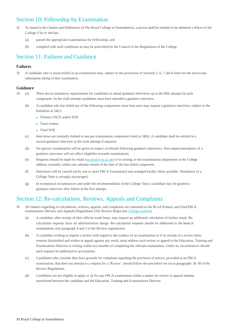# <span id="page-12-0"></span>Section 10: Fellowship by Examination

- 32 As stated in the Charter and Ordinances of The Royal College of Anaesthetists, a person shall be entitled to be admitted a fellow of the College if he or she has:
	- (a) passed the appropriate examinations for Fellowship; and
	- (b) complied with such conditions as may be prescribed by the Council in the Regulations of the College.

# Section 11: Failures and Guidance

## **Failures**

33 A candidate who is unsuccessful in an examination may, subject to the provisions of Sections 5, 6, 7 and 8 enter for the next or any subsequent sitting of that examination.

## **Guidance**

- 34 (a) There are no mandatory requirements for candidates to attend guidance interviews up to the fifth attempt for each component. At the sixth attempt candidates must have attended a guidance interview.
	- (b) A candidate who has failed any of the following components more than once may request a guidance interview, subject to the limitation at 34(c):
		- Primary OSCE and/or SOE
		- Final written
		- Final SOE
	- (c) Interviews are normally limited to one per examination component listed at 34(b). A candidate shall be entitled to a second guidance interview at the sixth attempt if required.
	- (d) No special consideration will be given in respect of refunds following guidance interviews. Non request/attendance of a guidance interview will not affect eligibility towards examinations.
	- (e) Requests should be made by email (exams@rcoa.ac.uk) or in writing, to the examinations department at the College address, normally within one calendar month of the date of the last failed component.
	- (f) Interviews will be carried out by one or more FRCA Examiner(s) and arranged locally where possible. Attendance of a College Tutor is strongly encouraged.
	- (g) In exceptional circumstances and under the recommendation of the College Tutor a candidate may be granted a guidance interview after failure at the first attempt.

# Section 12: Re-calculations, Reviews, Appeals and Complaints

- 35 All matters regarding re-calculations, reviews, appeals, and complaints are contained in the RCoA Primary and FinalFRCA examinations (Review and Appeals) Regulations (The Review Regs) (see College [website\)](http://www.rcoa.ac.uk/node/280).
	- (a) A candidate, after receipt of their official result letter, may request an additional calculation of his/her result. Recalculation requests incur an administration charge. Re-calculation requests should be addressed to the head of examinations. (see paragraph 4 and 5 of the Review regulations).
	- (b) A candidate wishing to request a review with regard to the conduct of an examination or if on receipt of a review letter, remains dissatisfied and wishes to appeal against any result, must address such review or appeal to the Education, Training and Examinations Director in writing within two months of completing the relevant examination. Under no circumstances should such requests be addressed to an examiner.
	- (c) Candidates who consider they have grounds for complaint regarding the provision of service, provided at an FRCA examination, that does not amount to a request for a 'Review', should follow the procedure set out at paragraphs 20–30 of the Review Regulations.
	- (d) Candidates are not eligible to apply or sit for any FRCA examination whilst a matter for review or appeal remains unresolved between the candidate and the Education, Training and Examinations Director.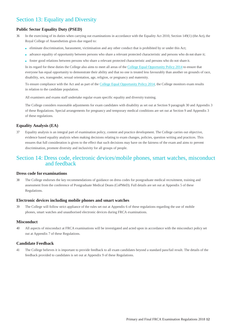# <span id="page-13-0"></span>Section 13: Equality and Diversity

# **Public Sector Equality Duty (PSED)**

- 36 In the exercising of its duties when carrying out examinations in accordance with the Equality Act 2010, Section 149(1) (the Act), the Royal College of Anaesthetists gives due regard to:
	- eliminate discrimination, harassment, victimisation and any other conduct that is prohibited by or under this Act;
	- advance equality of opportunity between persons who share a relevant protected characteristic and persons who do not share it;
	- foster good relations between persons who share a relevant protected characteristic and persons who do not share it.

In its regard for these duties the College also aims to meet all areas of the College Equal [Opportunity](https://www.rcoa.ac.uk/sites/default/files/RCoA-EqualOp-Policy2014.pdf) Policy 2014 to ensure that everyone has equal opportunity to demonstrate their ability and that no one is treated less favourably than another on grounds of race, disability, sex, transgender, sexual orientation, age, religion, or pregnancy and maternity.

To ensure compliance with the Act and as part of the [College Equal Opportunity Policy 2014,](https://www.rcoa.ac.uk/sites/default/files/RCoA-EqualOp-Policy2014.pdf) the College monitors exam results in relation to the candidate population.

All examiners and exams staff undertake regular exam specific equality and diversity training.

The College considers reasonable adjustments for exam candidates with disability as set out at Section 9 paragraph 30 and Appendix 3 of these Regulations. Special arrangements for pregnancy and temporary medical conditions are set out at Section 9 and Appendix 3 of these regulations.

## **Equality Analysis (EA)**

37 Equality analysis is an integral part of examination policy, content and practice development. The College carries out objective, evidence based equality analysis when making decisions relating to exam changes, policies, question writing and practices. This ensures that full consideration is given to the effect that such decisions may have on the fairness of the exam and aims to prevent discrimination, promote diversity and inclusivity for all groups of people.

# Section 14: Dress code, electronic devices/mobile phones, smart watches, misconduct and feedback

## **Dress code for examinations**

38 The College endorses the key recommendations of guidance on dress codes for postgraduate medical recruitment, training and assessment from the conference of Postgraduate Medical Deans (CoPMeD). Full details are set out at Appendix 5 of these Regulations.

## **Electronic devices including mobile phones and smart watches**

39 The College will follow strict appliance of the rules set out at Appendix 6 of these regulations regarding the use of mobile phones, smart watches and unauthorised electronic devices during FRCA examinations.

#### **Misconduct**

40 All aspects of misconduct at FRCA examinations will be investigated and acted upon in accordance with the misconduct policy set out at Appendix 7 of these Regulations.

## **Candidate Feedback**

41 The College believes it is important to provide feedback to all exam candidates beyond a standard pass/fail result. The details of the feedback provided to candidates is set out at Appendix 9 of these Regulations.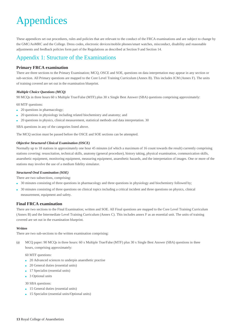# <span id="page-14-0"></span>Appendices

These appendices set out procedures, rules and policies that are relevant to the conduct of the FRCA examinations and are subject to change by the GMC/AoMRC and the College. Dress codes, electronic devices/mobile phones/smart watches, misconduct, disability and reasonable adjustments and feedback policies form part of the Regulations as described at Section 9 and Section 14.

# Appendix 1: Structure of the Examinations

# **Primary FRCA examination**

There are three sections to the Primary Examination; MCQ, OSCE and SOE, questions on data interpretation may appear in any section or sub-section. All Primary questions are mapped to the Core Level Training Curriculum (Annex B). This includes ICM (Annex F). The units of training covered are set out in the examination blueprint.

## *Multiple Choice Questions (MCQ)*

90 MCQs in three hours 60 x Multiple True/False (MTF) plus 30 x Single Best Answer (SBA) questions comprising approximately:

60 MTF questions:

- 20 questions in pharmacology;
- 20 questions in physiology including related biochemistry and anatomy; and
- 20 questions in physics, clinical measurement, statistical methods and data interpretation. 30

SBA questions in any of the categories listed above.

The MCQ section must be passed before the OSCE and SOE sections can be attempted.

## *Objective Structured Clinical Examination (OSCE)*

Normally up to 18 stations in approximately one hour 45 minutes (of which a maximum of 16 count towards the result) currently comprising stations covering: resuscitation, technical skills, anatomy (general procedure), history taking, physical examination, communication skills, anaesthetic equipment, monitoring equipment, measuring equipment, anaesthetic hazards, and the interpretation of images. One or more of the stations may involve the use of a medium fidelity simulator.

## *Structured Oral Examination (SOE)*

There are two subsections, comprising:

- 30 minutes consisting of three questions in pharmacology and three questions in physiology and biochemistry followed by;
- 30 minutes consisting of three questions on clinical topics including a critical incident and three questions on physics, clinical measurement, equipment and safety.

## **Final FRCA examination**

There are two sections to the Final Examination; written and SOE. All Final questions are mapped to the Core Level Training Curriculum (Annex B) and the Intermediate Level Training Curriculum (Annex C). This includes annex F as an essential unit. The units of training covered are set out in the examination blueprint.

## *Written*

There are two sub-sections to the written examination comprising:

(a) MCQ paper: 90 MCQs in three hours: 60 x Multiple True/False (MTF) plus 30 x Single Best Answer (SBA) questions in three hours, comprising approximately:

#### 60 MTF questions:

- 20 Advanced sciences to underpin anaesthetic practise
- 20 General duties (essential units)
- 17 Specialist (essential units)
- 3 Optional units

30 SBA questions:

- 15 General duties (essential units)
- 15 Specialist (essential units/Optional units)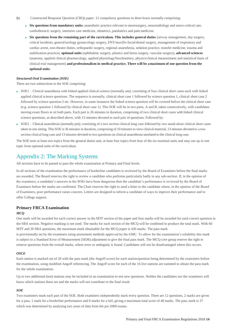- <span id="page-15-0"></span>(b) Constructed Response Question (CRQ) paper: 12 compulsory questions in three hours normally comprising:
	- **Six questions from mandatory units:** anaesthetic practice relevant to neurosurgery, neuroradiology and neuro-critical care, cardiothoracic surgery, intensive care medicine, obstetrics, paediatrics and pain medicine.
	- **Six questions from the remaining part of the curriculum. This includes general duties** (airway management, day surgery, critical incidents, general/urology gynaecology surgery, ENT/maxillo-facial/dental surgery, management of respiratory and cardiac arrest, non-theatre duties, orthopaedic surgery, regional anaesthesia, sedation practice, transfer medicine, trauma and stabilization practice), **optional units** (ophthalmic surgery, plastics and burns surgery, vascular surgery), **advanced sciences**  (anatomy, applied clinical pharmacology, applied physiology/biochemistry, physics/clinical measurement and statistical basis of clinical trial management) **and professionalism in medical practice. There will be a maximum of one question from the optional units**.

#### *Structured Oral Examination (SOE)*

There are two subsections to the SOE comprising:

- SOE1 Clinical anaesthesia with linked applied clinical science (normally am); consisting of four clinical short cases each with linked applied clinical science questions. The sequence is normally, clinical short case 1 followed by science question 1, clinical short case 2 followed by science question 2 etc. However, in some instances the linked science question will be covered before the clinical short case (e.g. science question 1 followed by clinical short case 1). This SOE will be in two parts, A and B, taken consecutively, with candidates moving exam floors to sit both parts. Each part is 26 minutes in duration, comprising of two clinical short cases with linked clinical science questions, as described above, with 13 minutes devoted to each pair of questions. Followed by:
- SOE2 Clinical anaesthesia (normally pm); consisting of a two section clinical long case followed by two stand-alone clinical short cases taken in one sitting. This SOE is 36 minutes in duration, comprising of 10 minutes to view clinical material, 13 minutes devoted to a two section clinical long case and 13 minutes devoted to two questions on clinical anaesthesia unrelated to the clinical long case.

The SOE tests at least two topics from the general duties unit, at least four topics from four of the six essential units and may use up to one topic from optional units of the curriculum.

# Appendix 2: The Marking Systems

All sections have to be passed to pass the whole examination at Primary and Final levels.

In all sections of the examination the performance of borderline candidates is reviewed by the Board of Examiners before the final marks are awarded. The Board reserves the right to review a candidate who performs particularly badly in any sub-section. If, in the opinion of the examiners, a candidate's answers in the SOEs have been dangerous then the candidate's performance is reviewed by the Board of Examiners before the marks are confirmed. The Chair reserves the right to send a letter to the candidate where, in the opinion of the Board of Examiners, poor performance raises concern. Letters are designed to inform a candidate of ways to improve their performance and to offer College support.

## **Primary FRCA Examination**

#### *MCQ*

One mark will be awarded for each correct answer in the MTF section of the paper and four marks will be awarded for each correct question in the SBA section. Negative marking is not used. The marks for each section of the MCQ will be combined to produce the total mark. With 60 MTF and 30 SBA questions, the maximum mark obtainable for the MCQ paper is 420 marks. The pass mark is provisionally set by the examiners using assessment methods approved by the GMC. To allow for the examination's reliability this mark is subject to a Standard Error of Measurement (SEM) adjustment to give the final pass mark. The MCQ core group reserve the right to remove questions from the overall marks, where error or ambiguity is found. Candidates will not be disadvantaged where this occurs.

#### *OSCE*

Each station is marked out of 20 with the pass mark (the Angoff score) for each station/question being determined by the examiners before the examination, using modified Angoff referencing. The Angoff score for each of the 16 live stations are summed to obtain the pass mark for the whole examination.

Up to two additional (test) stations may be included in an examination to test new questions. Neither the candidates nor the examiners will know which stations these are and the marks will not contribute to the final result.

## *SOE*

Two examiners mark each part of the SOE. Both examiners independently mark every question. There are 12 questions, 2 marks are given for a pass, 1 mark for a borderline performance and 0 marks for a fail, giving a maximum total score of 48 marks. The pass mark is 37 which was determined by analysing two years of data from the pre 2009 exams.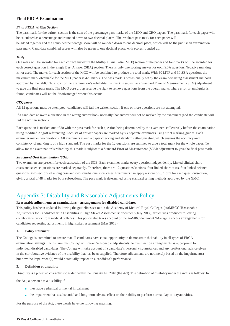## <span id="page-16-0"></span>**Final FRCA Examination**

### *Final FRCA Written Section*

The pass mark for the written section is the sum of the percentage pass marks of the MCQ and CRQ papers. The pass mark for each paper will be calculated as a percentage and rounded down to two decimal places. The resultant pass mark for each paper will be added together and the combined percentage score will be rounded down to one decimal place, which will be the published examination pass mark. Candidate combined scores will also be given to one decimal place, with scores rounded up.

## *MCQ*

One mark will be awarded for each correct answer in the Multiple True False (MTF) section of the paper and four marks will be awarded for each correct question in the Single Best Answer (SBA) section. There is only one scoring answer for each SBA question. Negative marking is not used. The marks for each section of the MCQ will be combined to produce the total mark. With 60 MTF and 30 SBA questions the maximum mark obtainable for the MCQ paper is 420 marks. The pass mark is provisionally set by the examiners using assessment methods approved by the GMC. To allow for the examination's reliability this mark is subject to a Standard Error of Measurement (SEM) adjustment to give the final pass mark. The MCQ core group reserve the right to remove questions from the overall marks where error or ambiguity is found, candidates will not be disadvantaged where this occurs.

#### *CRQ paper*

All 12 questions must be attempted; candidates will fail the written section if one or more questions are not attempted.

If a candidate answers a question in the wrong answer book normally that answer will not be marked by the examiners (and the candidate will fail the written section).

Each question is marked out of 20 with the pass mark for each question being determined by the examiners collectively before the examination using modified Angoff referencing. Each set of answer papers are marked by six separate examiners using strict marking guides. Each examiner marks two questions. All examiners attend a paper checking and standard setting meeting which ensures the accuracy and consistency of marking is of a high standard. The pass marks for the 12 questions are summed to give a total mark for the whole paper. To allow for the examination's reliability this mark is subject to a Standard Error of Measurement (SEM) adjustment to give the final pass mark.

#### *Structured Oral Examination (SOE)*

Two examiners are present for each subsection of the SOE. Each examiner marks every question independently. Linked clinical short cases and science questions are marked separately. Therefore, there are 12 questions/sections, four linked short cases, four linked science questions, two sections of a long case and two stand-alone short cases. Examiners can apply a score of 0, 1 or 2 for each question/section, giving a total of 48 marks for both subsections. The pass mark is determined using standard setting methods approved by the GMC.

# Appendix 3: Disability and Reasonable Adjustments Policy

## **Reasonable adjustments at examinations – arrangements for disabled candidates**

This policy has been updated following the guidelines set out in the Academy of Medical Royal Colleges (AoMRC)' 'Reasonable Adjustments for Candidates with Disabilities in High Stakes Assessments' document (July 2017), which was produced following collaborative work from medical colleges. This policy also takes account of the AoMRC document 'Managing access arrangements for candidates requesting adjustments in high stakes assessment (May 2018).

#### **1. Policy statement**

The College is committed to ensure that all candidates have equal opportunity to demonstrate their ability in all types of FRCA examination settings. To this aim, the College will make 'reasonable adjustments' to examination arrangements as appropriate for individual disabled candidates. The College will take account of a candidate's personal circumstances and any professional advice given in the corroborative evidence of the disability that has been supplied. Therefore adjustments are not merely based on the impairment(s) but how the impairment(s) would potentially impact on a candidate's performance.

#### **2. Definition of disability**

Disability is a protected characteristic as defined by the Equality Act 2010 (the Act). The definition of disability under the Act is as follows: In

the Act, a person has a disability if:

- they have a physical or mental impairment
- the impairment has a substantial and long-term adverse effect on their ability to perform normal day-to-day activities.

For the purpose of the Act, these words have the following meaning: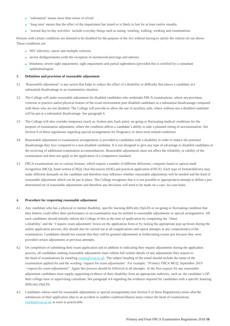- 'substantial' means more than minor or trivial
- 'long term' means that the effect of the impairment has lasted or is likely to last for at least twelve months
- 'normal day-to-day activities' include everyday things such as eating, washing, walking, working and examinations.

Persons with certain conditions are deemed to be disabled for the purpose of the Act without having to satisfy the criteria set out above. Those conditions are:

- HIV infection, cancer and multiple sclerosis
- severe disfigurements (with the exception of unremoved piercings and tattoos)
- blindness, severe sight impairment, sight impairment and partial sightedness (provided this is certified by a consultant ophthalmologist)

#### **3. Definition and provision of reasonable adjustment**

- 3.1 'Reasonable adjustment' is any action that helps to reduce the effect of a disability or difficulty that places a candidate ata substantial disadvantage in an examination situation.
- 3.2 The College will make reasonable adjustment for disabled candidates who undertake FRCA examinations, where any provision, criterion or practice and/or physical feature of the exam environment puts disabled candidates at a substantial disadvantage compared with those who are not disabled. The College will provide or allow the use of auxiliary aids, where without one a disabled candidate will be put at a substantial disadvantage. See paragraph 6.
- 3.3 The College will also consider temporary (such as; broken arm, back pain), on-going or fluctuating medical conditions for the purpose of examination adjustment, where the condition affects a candidate's ability to take a planned sitting of anexamination. See Section 9 of these regulations regarding special arrangements for Pregnancy or short-term related conditions.
- 3.4 Reasonable adjustment to examination arrangements is provided to candidates with a disability in order to reduce the potential disadvantage they face compared to a non-disabled candidate. It is not designed to give any type of advantage to disabled candidates in the receiving of additional examination accommodations. Reasonable adjustments must not affect the reliability or validity of the examination and does not apply to the application of a competence standard.
- 3.5 FRCA examinations are in various formats, which require a number of different deliveries; computer based or optical mark recognition (MCQ), hand written (CRQ), Oral discussion (SOE) and practical application (OSCE). Each type of format/delivery may make different demands on the candidate and therefore may influence whether reasonable adjustments will be needed and the kind of reasonable adjustment which can be put in place. The College recognises that it is not possible or appropriate to attempt to define a predetermined set of reasonable adjustments and therefore any decisions will need to be made on a case- by-case basis.

#### **4. Procedure for requesting reasonable adjustment**

- 4.1 Any candidate who has a physical or mental disability, specific learning difficulty (SpLD) or on-going or fluctuating condition that they believe could affect their performance in an examination may be entitled to reasonable adjustments or special arrangements. All such candidates should initially inform the College of this at the time of application by completing the 'I have a disability' and the 'I require exam adjustment' boxes on the application form or by ticking the appropriate pop-up boxes during the online application process, this should also be carried out at all reapplications and repeat attempts at any component(s) of the examination. Candidates should not assume that they will be granted adjustments at forthcoming exams just because they were provided certain adjustments at previous attempts.
- 4.2 On completion of submitting their exam application and in addition to indicating they require adjustments during the application process, all candidates seeking reasonable adjustments must submit full written details of any adjustments they require to the head of examinations by emailin[g exams@rcoa.ac.uk.](mailto:exams@rcoa.ac.uk) The subject heading of the email should include the name of the examination applied for and the wording 'request for exam adjustments'. For example; "*Primary FRCA MCQ, September 2019 - request for exam adjustments*". Again this process should be followed at all attempts. At the first request for any reasonable adjustment candidates must supply supporting evidence of their disability from an appropriate authority, such as; the candidate's GP, their college tutor or supervising consultant. See paragraph 4.4 regarding the evidence required for candidates with a specific learning difficulty (SpLD).
- 4.3 Candidates whose need for reasonable adjustments or special arrangements (see Section 9 of these Regulations) arises afterthe [s](mailto:exams@rcoa.ac.uk)ubmission of their application (due to an accident or sudden condition/illness) must contact the head of examinations [exams@rcoa.ac.uk](mailto:exams@rcoa.ac.uk) as soon as practicable.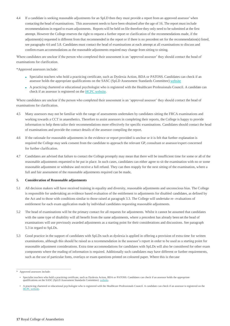4.4 If a candidate is seeking reasonable adjustments for an SpLD then they must provide a report from an approved assessor\* when contacting the head of examinations. This assessment needs to have been obtained after the age of 16. The report must include recommendationsin regard to exam adjustments. Reports will be held on file therefore they only need to be submitted at the first attempt. However the College reserves the right to request a further report or clarification of the recommendations made, if the adjustment(s) requested is different from that recommended in the report or if there is no precedent set for the recommendation(s) listed, see paragraphs 4.6 and 5.8. Candidates must contact the head of examinations at each attempt at all examinations to discuss and confirm exam accommodations as the reasonable adjustments required may change from sitting to sitting.

Where candidates are unclear if the person who completed their assessment is an 'approved assessor' they should contact the head of examinations for clarification.

\*Approved assessors include:

- Specialist teachers who hold a practicing certificate, such as Dyslexia Action, BDA or PATOSS. Candidates can check if an assessor holds the appropriate qualifications on the SASC (SpLD Assessment Standards Committee) [website](http://www.sasc.org.uk/Assessors.aspx)
- A practicing chartered or educational psychologist who is registered with the Healthcare Professionals Council. A candidate can check if an assessor is registered on the HCPC [website.](http://www.hpc-uk.org/check/)

Where candidates are unclear if the person who completed their assessment is an 'approved assessor' they should contact the head of examinations for clarification.

- 4.5 Many assessors may not be familiar with the range of assessments undertaken by candidates sitting the FRCA examinations and working towards a CCT in anaesthetics. Therefore to assist assessors in completing their reports, the College is happy to provide information to help them tailor their recommendations more effectively for specific examinations. Candidates should contact the head of examinations and provide the contact details of the assessor compiling the report.
- 4.6 If the rationale for reasonable adjustments in the evidence or report provided is unclear or it is felt that further explanation is required the College may seek consent from the candidate to approach the relevant GP, consultant or assessor/expert concerned for further clarification.
- 4.7 Candidates are advised that failure to contact the College promptly may mean that there will be insufficient time for some or all of the reasonable adjustments requested to be put in place. In such cases, candidates can either agree to sit the examination with no or some reasonable adjustment or withdraw and receive a full refund. They can then reapply for the next sitting of the examination, where a full and fair assessment of the reasonable adjustments required can be made,

#### **5. Consideration of Reasonable adjustments**

- 5.1 All decision makers will have received training in equality and diversity, reasonable adjustments and unconscious bias. The College is responsible for undertaking an evidence based evaluation of the entitlement to adjustments for disabled candidates, as defined by the Act and to those with conditions similar to those raised at paragraph 3.3. The College will undertake re- evaluations of entitlement for each exam application made by individual candidates requesting reasonable adjustments.
- 5.2 The head of examinations will be the primary contact for all requests for adjustments. Whilst it cannot be assumed that candidates with the same type of disability will all benefit from the same adjustments, where a precedent has already been set the head of examinations will use previously awarded adjustments as a starting point for their considerations and discussions. See paragraph 5.3 in regard to SpLDs.
- 5.3 Good practice in the support of candidates with SpLDs such as dyslexia is applied in offering a provision of extra time for written examinations, although this should be raised as a recommendation in the assessor's report in order to be used as a starting point for reasonable adjustment considerations. Extra time accommodations for candidates with SpLDs will also be considered for other exam components where the reading of information is required. Additionally such candidates may have different or further requirements, such as the use of particular fonts, overlays or exam questions printed on coloured paper. Where this is thecase

<sup>\*</sup> Approved assessors include:

<sup>•</sup> Specialist teachers who hold a practising certificate, such as Dyslexia Action, BDA or PATOSS. Candidates can check if an assessor holds the appropriate qualifications on the SASC (SpLD Assessment Standards Committee) web

<sup>•</sup> A practicing chartered or educational psychologist who is registered with the Healthcare Professionals Council. A candidate can check if an assessor is registered on the HCPC [website.](http://www.hpc-uk.org/check/)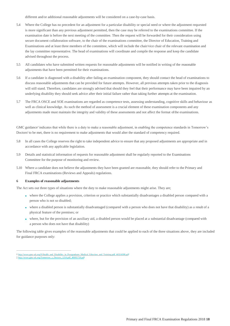different and/or additional reasonable adjustments will be considered on a case-by-case basis.

- 5.4 Where the College has no precedent for an adjustment for a particular disability or special need or where the adjustment requested is more significant than any previous adjustment permitted, then the case may be referred to the examinations committee. If the examination date is before the next meeting of the committee. Then the request will be forwarded for their consideration using secure document collaboration software, to the chair of the examinations committee, the Director of Education, Training and Examinations and at least three members of the committee, which will include the chair/vice chair of the relevant examination and the lay committee representative. The head of examinations will coordinate and compile the response and keep the candidate advised throughout the process.
- 5.5 All candidates who have submitted written requests for reasonable adjustments will be notified in writing of the reasonable adjustments that have been permitted for their examinations.
- 5.6 If a candidate is diagnosed with a disability after failing an examination component, they should contact the head of examinations to discuss reasonable adjustments that can be provided for future attempts. However, all previous attempts taken prior to the diagnosis will still stand. Therefore, candidates are strongly advised that should they feel that their performance may have been impaired by an underlying disability they should seek advice after their initial failure rather than taking further attempts at the examination.
- 5.7 The FRCA OSCE and SOE examinations are regarded as competence tests, assessing understanding, cognitive skills and behaviour as well as clinical knowledge. As such the method of assessment is a crucial element of these examination components and any adjustments made must maintain the integrity and validity of these assessments and not affect the format of the examinations.

GMC guidance<sup>†</sup> indicates that while there is a duty to make a reasonable adjustment, in enabling the competence standards in Tomorrow's Doctors $\frac{1}{2}$  to be met, there is no requirement to make adjustments that would alter the standard of competency required.

- 5.8 In all cases the College reserves the right to take independent advice to ensure that any proposed adjustments are appropriate and in accordance with any applicable legislation.
- 5.9 Details and statistical information of requests for reasonable adjustment shall be regularly reported to the Examinations Committee for the purpose of monitoring and review.
- 5.10 Where a candidate does not believe the adjustments they have been granted are reasonable, they should refer to the Primary and Final FRCA examinations (Reviews and Appeals) regulations.

#### **6 Examples of reasonable adjustments**

The Act sets out three types of situations where the duty to make reasonable adjustments might arise. They are;

- where the College applies a provision, criterion or practice which substantially disadvantages a disabled person compared with a person who is not so disabled;
- where a disabled person is substantially disadvantaged (compared with a person who does not have that disability) as a result of a physical feature of the premises; or
- where, but for the provision of an auxiliary aid, a disabled person would be placed at a substantial disadvantage (compared with a person who does not have that disability)

The following table gives examples of the reasonable adjustments that could be applied to each of the three situations above, they are included for guidance purposes only:

[<sup>†</sup> http://www.gmc-uk.org/9](http://www.gmc-uk.org/9) Health\_and\_Disability\_in\_Postgraduate\_Medical\_Eduction\_and\_Training.pdf\_46554398.pdf

<sup>1214.</sup>pdf 48905759.pdf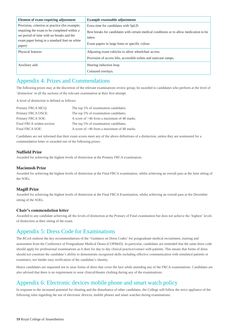<span id="page-20-0"></span>

| Element of exam requiring adjustment                                                                                                                                                                 | <b>Example reasonable adjustments</b>                                                                                                                                                       |
|------------------------------------------------------------------------------------------------------------------------------------------------------------------------------------------------------|---------------------------------------------------------------------------------------------------------------------------------------------------------------------------------------------|
| Provision, criterion or practice (for example;<br>requiring the exam to be completed within a<br>set period of time with no breaks and the<br>exam paper being in a standard font on white<br>paper) | Extra time for candidates with SpLD.<br>Rest breaks for candidates with certain medical conditions or to allow medication to be<br>taken.<br>Exam papers in large fonts or specific colour. |
| Physical features                                                                                                                                                                                    | Adjusting exam cubicles to allow wheelchair access.<br>Provision of access lifts, accessible toilets and staircase ramps.                                                                   |
| Auxiliary aids                                                                                                                                                                                       | Hearing induction loop.<br>Coloured overlays.                                                                                                                                               |

# Appendix 4: Prizes and Commendations

The following prizes may at the discretion of the relevant examinations review group, be awarded to candidates who perform at the level of 'distinction' in all the sections of the relevant examination at their first attempt.

A level of distinction is defined as follows:

| Primary FRCA MCQ:           | The top 5% of examination candidates.        |
|-----------------------------|----------------------------------------------|
| Primary FRCA OSCE:          | The top 5% of examination candidates.        |
| Primary FRCA SOE:           | A score of $>46$ from a maximum of 48 marks. |
| Final FRCA written section: | The top 5% of examination candidates.        |
| Final FRCA SOE:             | A score of >46 from a maximum of 48 marks.   |

Candidates are not informed that their exam scores meet any of the above definitions of a distinction, unless they are nominated for a commendation letter or awarded one of the following prizes:

# **Nuffield Prize**

Awarded for achieving the highest levels of distinction at the Primary FRCA examination.

## **Macintosh Prize**

Awarded for achieving the highest levels of distinction at the Final FRCA examination, whilst achieving an overall pass at the June sitting of the SOEs.

## **Magill Prize**

Awarded for achieving the highest levels of distinction at the Final FRCA Examination, whilst achieving an overall pass at the December sitting of the SOEs.

## **Chair's commendation letter**

Awarded to any candidate achieving all the levels of distinction at the Primary of Final examination but does not achieve the 'highest' levels of distinction at their sitting of the exam.

# Appendix 5: Dress Code for Examinations

The RCoA endorse the key recommendations of the 'Guidance on Dress Codes' for postgraduate medical recruitment, training and assessment from the Conference of Postgraduate Medical Deans (COPMeD). In particular, candidates are reminded that the same dress code should apply for professional examinations as it does for day to day clinical practice/contact with patients. This means that forms of dress should not constrain the candidate's ability to demonstrate recognised skills including effective communication with simulated patients or examiners, nor hinder easy verification of the candidate's identity.

Hence candidates are requested not to wear forms of dress that cover the face while attending any of the FRCA examinations. Candidates are also advised that there is no requirement to wear clinical/theatre clothing during any of the examinations.

# Appendix 6: Electronic devices mobile phone and smart watch policy

In response to the increased potential for cheating and the disturbance of other candidates, the College will follow the strict appliance of the following rules regarding the use of electronic devices, mobile phones and smart watches during examinations: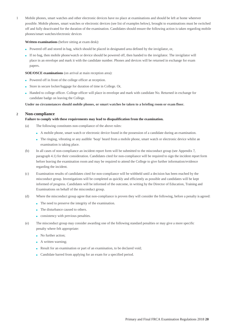1 Mobile phones, smart watches and other electronic devices have no place at examinations and should be left at home wherever possible. Mobile phones, smart watches or electronic devices (see list of examples below), brought to examinations must be switched off and fully deactivated for the duration of the examination. Candidates should ensure the following action is taken regarding mobile phones/smart watches/electronic devices

#### **Written examinations** (before sitting at exam desk):

- Powered off and stored in bag, which should be placed in designated area defined by the invigilator, or,
- If no bag, then mobile phone/watch or device should be powered off, then handed to the invigilator. The invigilator will place in an envelope and mark it with the candidate number. Phones and devices will be returned in exchange for exam papers.

#### **SOE/OSCE examinations** (on arrival at main reception area):

- Powered off in front of the college officer at reception.
- Store in secure locker/luggage for duration of time in College. Or,
- Handed to college officer. College officer will place in envelope and mark with candidate No. Returned in exchange for candidate badge on leaving the College.

**Under no circumstances should mobile phones, or smart watches be taken to a briefing room or exam floor.**

## **2 Non-compliance**

#### **Failure to comply with these requirements may lead to disqualification from the examination.**

- (a) The following constitutes non-compliance of the above rules:
	- A mobile phone, smart watch or electronic device found in the possession of a candidate during an examination.
	- The ringing, vibrating or any audible 'beep' heard from a mobile phone, smart watch or electronic device whilst an examination is taking place.
- (b) In all cases of non-compliance an incident report form will be submitted to the misconduct group (see Appendix 7, paragraph 4.1) for their consideration. Candidates cited for non-compliance will be required to sign the incident report form before leaving the examination room and may be required to attend the College to give further information/evidence regarding the incident.
- (c) Examination results of candidates cited for non-compliance will be withheld until a decision has been reached by the misconduct group. Investigations will be completed as quickly and efficiently as possible and candidates will be kept informed of progress. Candidates will be informed of the outcome, in writing by the Director of Education, Training and Examinations on behalf of the misconduct group.
- (d) Where the misconduct group agree that non-compliance is proven they will consider the following, before a penalty is agreed:
	- The need to preserve the integrity of the examination.
	- The disturbance caused to others.
	- consistency with previous penalties.
- (e) The misconduct group may consider awarding one of the following standard penalties or may give a more specific penalty where felt appropriate:
	- No further action;
	- A written warning;
	- Result for an examination or part of an examination, to be declared void;
	- Candidate barred from applying for an exam for a specified period.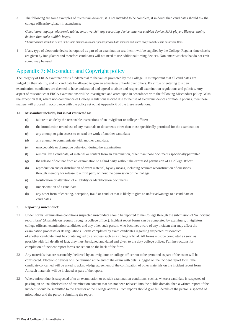<span id="page-22-0"></span>3 The following are some examples of 'electronic devices', it is not intended to be complete, if in doubt then candidates should ask the college officer/invigilator in attendance:

*Calculators, laptops, electronic tablet, smart watch\*, any recording device, internet enabled device, MP3 player, Bleeper, timing devices that make audible beeps.*

\* Smart watches should be treated in the same manner as a mobile phone; powered off, removed and stored away from the exam desk/exam floor.

4 If any type of electronic device is required as part of an examination test then it will be supplied by the College. Regular time checks are given by invigilators and therefore candidates will not need to use additional timing devices. Non-smart watches that do not emit sound may be used.

# Appendix 7: Misconduct and Copyright policy

The integrity of FRCA examinations is fundamental to the values promoted by the College. It is important that all candidates are judged on their ability, and no candidate be allowed to gain an advantage unfairly over others. By virtue of entering to sit an examination, candidates are deemed to have understood and agreed to abide and respect all examination regulations and policies. Any aspect of misconduct at FRCA examinations will be investigated and acted upon in accordance with the following Misconduct policy. With the exception that, where non-compliance of College regulations is cited due to the use of electronic devices or mobile phones, then these matters will proceed in accordance with the policy set out at Appendix 6 of the these regulations.

#### **1.1 Misconduct includes, but is not restricted to:**

- (a) failure to abide by the reasonable instructions of an invigilator or college officer;
- (b) the introduction or/and use of any materials or documents other than those specifically permitted for the examination;
- (c) any attempt to gain access to or read the work of another candidate;
- (d) any attempt to communicate with another candidate;
- (e) unacceptable or disruptive behaviour during the examination;
- (f) removal by a candidate, of material or content from an examination, other than those documents specifically permitted.
- (g) the release of content from an examination to a third party without the expressed permission of a CollegeOfficer.
- (h) reproduction and/or distribution of exam material, by any means, including accurate reconstruction of questions through memory for release to a third party without the permission of the College.
- (i) falsification or alteration of eligibility or identification documents.
- (j) impersonation of a candidate.
- (k) any other form of cheating, deception, fraud or conduct that is likely to give an unfair advantage to a candidate or candidates.

#### 2. **Reporting misconduct**:

- 2.1 Under normal examination conditions suspected misconduct should be reported to the College through the submission of'an Incident report form' (Available on request through a college officer). Incident report forms can be completed by examiners, invigilators, college officers, examination candidates and any other such person, who becomes aware of any incident that may affect the examination processes or its regulations. Forms completed by exam candidates regarding suspected misconduct of another candidate must be countersigned by a witness such as a college official. All forms must be completed as soon as possible with full details of fact, they must be signed and dated and given to the duty college officer. Full instructions for completion of incident report forms are set out on the back of the form.
- 2.2 Any materials that are reasonably, believed by an invigilator or college officer not to be permitted as part of the exam will be confiscated. Electronic devices will be returned at the end of the exam with details logged on the incident report form. The candidate concerned will be asked to acknowledge agreement of the confiscation of other materials on the incident report form. All such materials will be included as part of the report.
- 2.3 Where misconduct is suspected after an examination or outside examination conditions, such as where a candidate is suspected of passing on or unauthorised use of examination content that has not been released into the public domain, then a written report of the incident should be submitted to the Director at the College address. Such reports should give full details of the person suspected of misconduct and the person submitting the report.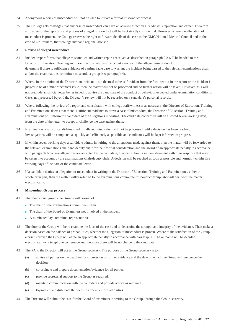- 2.4 Anonymous reports of misconduct will not be used to initiate a formal misconduct process.
- 2.5 The College acknowledges that any case of misconduct can have an adverse effect on a candidate's reputation and career. Therefore all matters of the reporting and process of alleged misconduct will be kept strictly confidential. However, where the allegation of misconduct is proven, the College reserves the right to forward details of the case to the GMC/National Medical Council and in the case of UK trainees, their college tutor and regional advisor.

#### **3 Review of alleged misconduct**

- 3.1 Incident report forms that allege misconduct and written reports received as described in paragraph 2.2 will be handed to the Director of Education, Training and Examinations who will carry out a review of the alleged misconduct to determine if there is sufficient evidence of a prima facie case to warrant the incident being passed to the relevant examinations chair and/or the examinations committee misconduct group (see paragraph 4).
- 3.2 Where, in the opinion of the Director, an incident is not deemed to be self-evident from the facts set out in the report or the incident is judged to be of a minor/technical issue, then the matter will not be processed and no further action will be taken. However, this will not preclude an official letter being issued to advise the candidate of the conduct of behaviour expected under examination conditions. Cases not processed beyond the Director's review will not be recorded on a candidate's personal records.
- 3.3 Where, following the review of a report and consultation with college staff/witnesses as necessary, the Director of Education, Training and Examinations deems that there is sufficient evidence to prove a case of misconduct, the Director of Education, Training and Examinations will inform the candidate of the allegations in writing. The candidate concerned will be allowed seven working days, from the date of the letter, to accept or challenge the case against them.
- 3.4 Examination results of candidates cited for alleged misconduct will not be processed until a decision has been reached. Investigations will be completed as quickly and efficiently as possible and candidates will be kept informed of progress.
- 3.5 If, within seven working days a candidate admits in writing to the allegations made against them, then the matter will be forwarded to the relevant examinations chair and deputy chair for their formal consideration and the award of an appropriate penalty in accordance with paragraph 6. Where allegations are accepted by the candidate, they can submit a written statement with their response that may be taken into account by the examinations chair/deputy chair. A decision will be reached as soon as possible and normally within five working days of the date of the candidate letter.
- 3.6 If a candidate denies an allegation of misconduct in writing to the Director of Education, Training and Examinations, either in whole or in part, then the matter will be referred to the examinations committee misconduct group who will deal with the matter electronically.

#### **4 Misconduct Group process**

- 4.1 The misconduct group (the Group) will consist of:
	- The chair of the examinations committee (Chair)
	- The chair of the Board of Examiners not involved in the incident
	- A nominated lay committee representative
- 4.2 The duty of the Group will be to examine the facts of the case and to determine the strength and integrity of the evidence. Then make a decision based on the balance of probabilities, whether the allegation of misconduct is proven. Where to the satisfaction of the Group, a case is proven the Group will agree an appropriate penalty in accordance with paragraph 6. The outcome will be decided electronically/via telephone conference and therefore there will be no charge to the candidate.
- 4.3 The PA to the Director will act as the Group secretary. The purpose of the Group secretary is to:
	- (a) advise all parties on the deadline for submission of further evidence and the date on which the Group will announce their decision.
	- (b) co-ordinate and prepare documentation/evidence for all parties.
	- (c) provide secretarial support to the Group as required.
	- (d) maintain communication with the candidate and provide advice as required.
	- (e) to produce and distribute the 'decision document' to all parties.
- 4.4 The Director will submit the case for the Board of examiners in writing to the Group, through the Group secretary.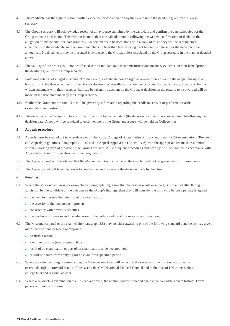- 4.5 The candidate has the right to submit written evidence for consideration by the Group up to the deadline given by theGroup secretary.
- 4.7 The Group secretary will acknowledge receipt of all evidence submitted by the candidate and confirm the date scheduled for the Group to make its decision. This will not be more than one calendar month following the written confirmation of denial of the allegation of misconduct, see paragraph 3.6. All documents to be used along with a copy of this policy will be sent by email attachments to the candidate and the Group members no later than five working days before the date set for the decision to be announced. No documents may be presented in evidence to the Group, unless circulated by the Group secretary in the manner detailed above.
- 4.8 The validity of the process will not be affected if the candidate fails to submit further documentary evidence on their behalfprior to the deadline given by the Group secretary.
- 4.9 Following referral of alleged misconduct to the Group, a candidate has the right to reverse their answer to the allegations up to 48 hours prior to the date scheduled for the Group's decision. Where allegations are then accepted by the candidate, they can submit a written statement with their response that may be taken into account by the Group. A decision on the penalty to be awarded will be made on the date announced by the Group secretary.
- 4.10 Neither the Group nor the candidate will be given any information regarding the candidate's result or performance at the examination in question.
- 4.11 The decision of the Group is to be confirmed in writing to the candidate (the decision document) as soon as possible following the decision date. A copy will be provided to each member of the Group and a copy will be held on College files.

#### **5 Appeals procedure**

- 5.1 Appeals must be carried out in accordance with The Royal College of Anaesthetists Primary and Final FRCA examinations (Reviews and Appeals) regulations, Paragraphs 14 – 19 and an Appeal Application (Appendix A) with the appropriate fee must be submitted within 7 working days of the date of the Groups decision. All subsequent procedures and hearings will be handled in accordance with Appendices B and C of the aforementioned regulations.
- 5.2 The Appeals panel will be advised that the Misconduct Group considered the case but will not be given details of theoutcome.
- 5.3 The Appeal panel will have the power to confirm, amend or reverse the decision made by the Group.

#### **6 Penalties**

- 6.1 Where the Misconduct Group or exam chairs (paragraph 3.5), agree that the case in whole or in part, is proven whetherthrough admission by the candidate or the outcome of the Group's findings, then they will consider the following before a penalty is agreed:
	- the need to preserve the integrity of the examination.
	- the severity of the infringement proven
	- consistency with previous penalties.
	- the evidence of remorse and the admission of the understanding of the seriousness of the case.
- 6.2 The Misconduct panel or the exam chairs (paragraph 3.5) may consider awarding one of the following standard penalties or may give a more specific penalty where appropriate:
	- no further action
	- a written warning (see paragraph 6.3)
	- result of an examination or part of an examination, to be declared void
	- candidate barred from applying for an exam for a specified period
- 6.3 Where a written warning is agreed upon, the Group/exam chairs will reflect on the severity of the misconduct proven and reserve the right to forward details of the case to the GMC/National Medical Council and in the case of UK trainees, their college tutor and regional adviser.
- 6.4 Where a candidate's examination result is declared void, the attempt will be recorded against the candidate's exam history. Exam papers will not be processed.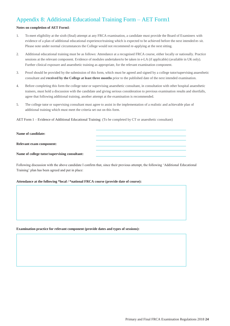# <span id="page-25-0"></span>Appendix 8: Additional Educational Training Form – AET Form1

## **Notes on completion of AET Form1**:

- 1. To meet eligibility at the sixth (final) attempt at any FRCA examination, a candidate must provide the Board of Examiners with evidence of a plan of additional educational experience/training which is expected to be achieved before the next intended re-sit. Please note under normal circumstances the College would not recommend re-applying at the next sitting.
- 2. Additional educational training must be as follows: Attendance at a recognised FRCA course, either locally or nationally. Practice sessions at the relevant component. Evidence of modules undertaken/to be taken in e-LA (if applicable) (available in UK only). Further clinical exposure and anaesthetic training as appropriate, for the relevant examination component.
- 3. Proof should be provided by the submission of this form, which must be agreed and signed by a college tutor/supervising anaesthetic consultant and **received by the College at least three months** prior to the published date of the next intended examination.
- 4. Before completing this form the college tutor or supervising anaesthetic consultant, in consultation with other hospital anaesthetic trainers, must hold a discussion with the candidate and giving serious consideration to previous examination results and shortfalls, agree that following additional training, another attempt at the examination is recommended.
- 5. The college tutor or supervising consultant must agree to assist in the implementation of a realistic and achievable plan of additional training which must meet the criteria set out on this form.

AET Form 1 – Evidence of Additional Educational Training: (To be completed by CT or anaesthetic consultant)

**Name of candidate:**

**Relevant exam component:**

**Name of college tutor/supervising consultant:**

Following discussion with the above candidate I confirm that, since their previous attempt, the following 'Additional Educational Training' plan has been agreed and put in place:

## **Attendance at the following \*local / \*national FRCA course (provide date of course):**

**Examination practice for relevant component (provide dates and types of sessions):**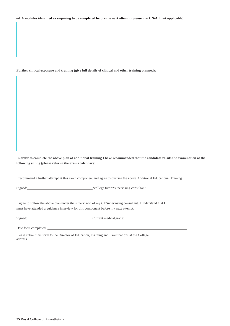#### **e-LA modules identified as requiring to be completed before the next attempt (please mark N/A if not applicable):**

#### **Further clinical exposure and training (give full details of clinical and other training planned):**

**In order to complete the above plan of additional training I have recommended that the candidate re-sits the examination at the following sitting (please refer to the exams calendar):**

I recommend a further attempt at this exam component and agree to oversee the above Additional Educational Training.

Signed: \*college tutor/\*supervising consultant

I agree to follow the above plan under the supervision of my CT/supervising consultant. I understand that I must have attended a guidance interview for this component before my next attempt.

Signed: Current medical grade: Current medical grade:

Date form completed:

Please submit this form to the Director of Education, Training and Examinations at the College address.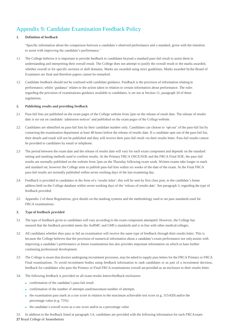# <span id="page-28-0"></span>Appendix 9: Candidate Examination Feedback Policy

## **1. Definition of feedback**

'Specific information about the comparison between a candidate's observed performance and a standard, given with the intention to assist with improving the candidate's performance.'

- 1.1 The College believes it is important to provide feedback to candidates beyond a standard pass-fail result to assist them in understanding and interpreting their overall result. The College does not attempt to justify the overall result or the marks awarded, whether overall or for specific sections or skill domains. Marks are awarded using strict guidelines. Marks awarded by the Board of Examiners are final and therefore papers cannot be remarked.
- 1.2 Candidate feedback should not be confused with candidate guidance. Feedback is the provision of information relating to performance, whilst 'guidance' relates to the action taken in relation to certain information about performance. The rules regarding the provision of examinations guidance available to candidates, is set out at Section 11, paragraph 34 of these regulations.

#### **2. Publishing results and providing feedback**

- 2.1 Pass-fail lists are published on the exam pages of the College website from 2pm on the release of result date. The release of results date is set out on candidate 'admission notices' and published on the exam pages of the College website.
- 2.2 Candidates are identified on pass-fail lists by their candidate number only. Candidates can choose to 'opt out' of the pass-fail list by contacting the examination department at least 48 hours before the release of results date. If a candidate opts out of the pass-fail list, their details and result will not be published and they will receive their pass-fail result via their results letter. Pass-fail results cannot be provided to candidates by email or telephone.
- 2.3 The period between the exam date and the release of results date will vary for each exam component and depends on the standard setting and marking methods used to confirm results. At the Primary FRCA OSCE/SOE and the FRCA Final SOE, the pass-fail results are normally published on the website from 2pm on the Thursday following exam week. Written exams take longer to mark and standard set, however the College aims to publish pass-fail lists within six weeks of the date of the exam. At the Final FRCA pass-fail results are normally published within seven working days of the last examining day.
- 2.4 Feedback is provided to candidates in the form of a 'results letter', this will be sent by first class post, to the candidate's home address held on the College database within seven working days of the 'release of results date'. See paragraph 3, regarding the type of feedback provided.
- 2.5 Appendix 2 of these Regulations, give details on the marking systems and the methodology used to set pass standards used for FRCA examinations.

#### **3. Type of feedback provided**

- 3.1 The type of feedback given to candidates will vary according to the exam component attempted. However, the College has ensured that the feedback provided meets the AoRMC and GMCs standards and is in line with other medical colleges.
- 3.2 All candidates whether they pass or fail an examination will receive the same type of feedback through their results letter. This is because the College believes that the provision of numerical information about a candidate's exam performance not onlyassists with improving a candidate's performance at future examinations but also provides important information on which to base further continuing professional development.
- 3.3 The College is aware that doctors undergoing recruitment processes, may be asked to supply pass letters for the FRCA Primary or FRCA Final examinations. To avoid recruitment bodies using feedback information to rank candidates or as part of a recruitment decision, feedback for candidates who pass the Primary or Final FRCA examinations overall are provided as an enclosure to their results letter.
- 3.4 The following feedback is provided on all exam results letters/feedback enclosures:
	- confirmation of the candidate's pass-fail result
	- confirmation of the number of attempts used/maximum number of attempts
	- $\bullet$  the examination pass mark as a raw score in relation to the maximum achievable test score (e.g. 315/420) and/or the percentage value (e.g. 75%)
	- the candidate's overall score as a raw score and/or as a percentage value
- **27** Royal College of Anaesthetists In addition to the feedback listed at paragraph 3.4, candidates are provided with the following information for each FRCA exam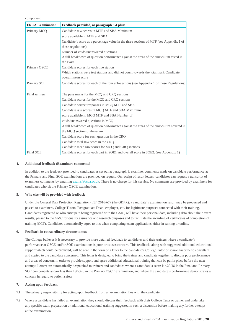component:

| <b>FRCA Examination</b> | Feedback provided, as paragraph 3.4 plus:                                                |
|-------------------------|------------------------------------------------------------------------------------------|
| Primary MCQ             | Candidate raw scores in MTF and SBA Maximum                                              |
|                         | score available in MTF and SBA                                                           |
|                         | Candidate's score as a percentage value in the three sections of MTF (see Appendix 1 of  |
|                         | these regulations)                                                                       |
|                         | Number of voids/unanswered questions                                                     |
|                         | A full breakdown of question performance against the areas of the curriculum tested in   |
|                         | the exam.                                                                                |
| Primary OSCE            | Candidate scores for each live station                                                   |
|                         | Which stations were test stations and did not count towards the total mark Candidate     |
|                         | overall mean score                                                                       |
| Primary SOE             | Candidate scores for each of the four sub-sections (see Appendix 1 of these Regulations) |
|                         |                                                                                          |
| Final written           | The pass marks for the MCQ and CRQ sections                                              |
|                         | Candidate scores for the MCQ and CRQ sections                                            |
|                         | Candidate correct responses in MCQ MTF and SBA                                           |
|                         | Candidate raw scores in MCQ MTF and SBA Maximum                                          |
|                         | score available in MCQ MTF and SBA Number of                                             |
|                         | voids/unanswered questions in MCQ                                                        |
|                         | A full breakdown of question performance against the areas of the curriculum covered in  |
|                         | the MCQ section of the exam                                                              |
|                         | Candidate score for each question in the CRQ                                             |
|                         | Candidate total raw score in the CRQ                                                     |
|                         | Candidate mean raw scores for MCQ and CRQ sections                                       |
| <b>Final SOE</b>        | Candidate scores for each part in SOE1 and overall score in SOE2. (see Appendix 1)       |

#### **4. Additional feedback (Examiners comments)**

In addition to the feedback provided to candidates as set out at paragraph 3, examiner comments made on candidate performance at the Primary and Final SOE examinations are provided on request. On receipt of result letters, candidates can request a transcript of examiners comments by emailin[g exams@rcoa.ac.uk.](mailto:exams@rcoa.ac.uk) There is no charge for this service. No comments are provided by examiners for candidates who sit the Primary OSCE examination.

#### **5. Who else will be provided with feedback**

Under the General Data Protection Regulation (EU) 2016/679 (the GDPR), a candidate's examination result may be processed and passed to examiners, College Tutors, Postgraduate Dean, employer, etc. for legitimate purposes connected with their training. Candidates registered or who anticipate being registered with the GMC, will have their personal data, including data about their exam results, passed to the GMC for quality assurance and research purposes and to facilitate the awarding of certificates of completion of training (CCT). Candidates automatically agree to this when completing exam applications either in writing or online.

#### **6. Feedback in extraordinary circumstances**

The College believes it is necessary to provide more detailed feedback to candidates and their trainers where a candidate's performance at OSCE and/or SOE examinations is poor or causes concern. This feedback, along with suggested additional educational support which could be provided, will be sent in the form of a letter to the candidate's College Tutor or senior anaesthetic consultant and copied to the candidate concerned. This letter is designed to bring the trainer and candidate together to discuss poor performance and areas of concern, in order to provide support and agree additional educational training that can be put in place before the next attempt. Letters are automatically despatched to trainers and candidates where a candidate's score is <20/48 in the Final and Primary SOE components and/or less than 180/320 in the Primary OSCE examination, and where the candidate's performance demonstrates a concern in regard to patient safety.

#### **7. Acting upon feedback**

- 7.1 The primary responsibility for acting upon feedback from an examination lies with the candidate.
- 7.2 Where a candidate has failed an examination they should discuss their feedback with their College Tutor or trainer and undertake any specific exam preparation or additional educational training suggested in such a discussion before making any further attempt at the examination.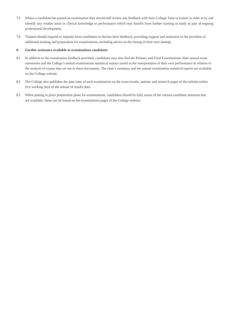- 7.3 Where a candidate has passed an examination they should still review any feedback with their College Tutor or trainer in order to try and identify any weaker areas in clinical knowledge or performance which may benefit from further training or study as part of ongoing professional development.
- 7.4 Trainers should respond to requests from candidates to discuss their feedback, providing support and assistance in the provision of additional training and preparation for examinations, including advice on the timing of their next attempt.

#### **8. Further assistance available to examinations candidates**

- 8.1 In addition to the examination feedback provided, candidates may also find the Primary and Final Examinations chair annual exam summaries and the College's annual examinations statistical reports useful in the interpretation of their own performance in relation to the analysis of exams data set out in these documents. The chair's summary and the annual examination statistical reports are available on the College website.
- 8.2 The College also publishes the pass rates of each examination on the exam results, statistic and research pages of the website within five working days of the release of results date.
- 8.3 When putting in place preparation plans for examinations, candidates should be fully aware of the various candidate resources that are available; these can be found on the examinations pages of the College website.